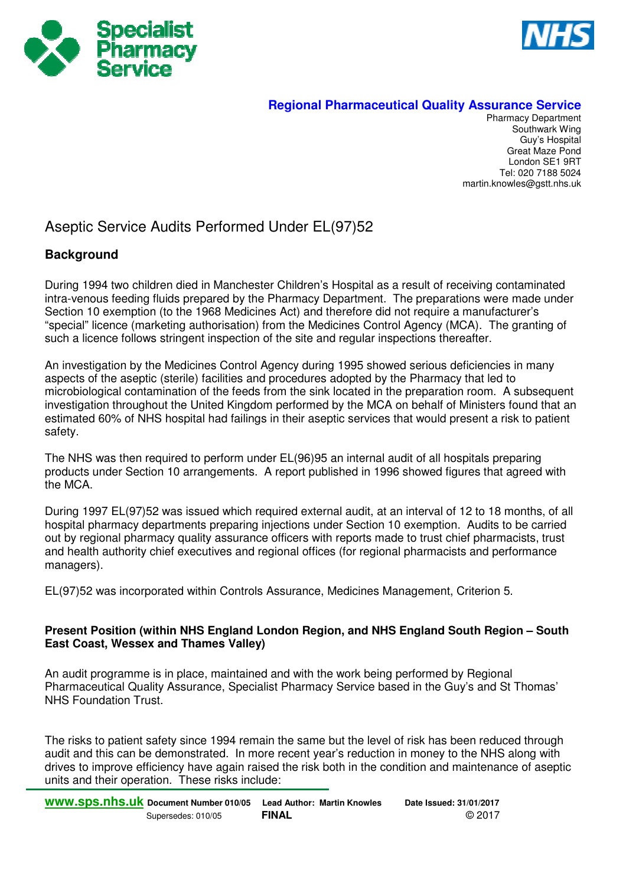



## **Regional Pharmaceutical Quality Assurance Service**

Pharmacy Department Southwark Wing Guy's Hospital Great Maze Pond London SE1 9RT Tel: 020 7188 5024 martin.knowles@gstt.nhs.uk

## Aseptic Service Audits Performed Under EL(97)52

## **Background**

During 1994 two children died in Manchester Children's Hospital as a result of receiving contaminated intra-venous feeding fluids prepared by the Pharmacy Department. The preparations were made under Section 10 exemption (to the 1968 Medicines Act) and therefore did not require a manufacturer's "special" licence (marketing authorisation) from the Medicines Control Agency (MCA). The granting of such a licence follows stringent inspection of the site and regular inspections thereafter.

An investigation by the Medicines Control Agency during 1995 showed serious deficiencies in many aspects of the aseptic (sterile) facilities and procedures adopted by the Pharmacy that led to microbiological contamination of the feeds from the sink located in the preparation room. A subsequent investigation throughout the United Kingdom performed by the MCA on behalf of Ministers found that an estimated 60% of NHS hospital had failings in their aseptic services that would present a risk to patient safety.

The NHS was then required to perform under EL(96)95 an internal audit of all hospitals preparing products under Section 10 arrangements. A report published in 1996 showed figures that agreed with the MCA.

During 1997 EL(97)52 was issued which required external audit, at an interval of 12 to 18 months, of all hospital pharmacy departments preparing injections under Section 10 exemption. Audits to be carried out by regional pharmacy quality assurance officers with reports made to trust chief pharmacists, trust and health authority chief executives and regional offices (for regional pharmacists and performance managers).

EL(97)52 was incorporated within Controls Assurance, Medicines Management, Criterion 5.

## **Present Position (within NHS England London Region, and NHS England South Region – South East Coast, Wessex and Thames Valley)**

An audit programme is in place, maintained and with the work being performed by Regional Pharmaceutical Quality Assurance, Specialist Pharmacy Service based in the Guy's and St Thomas' NHS Foundation Trust.

The risks to patient safety since 1994 remain the same but the level of risk has been reduced through audit and this can be demonstrated. In more recent year's reduction in money to the NHS along with drives to improve efficiency have again raised the risk both in the condition and maintenance of aseptic units and their operation. These risks include: